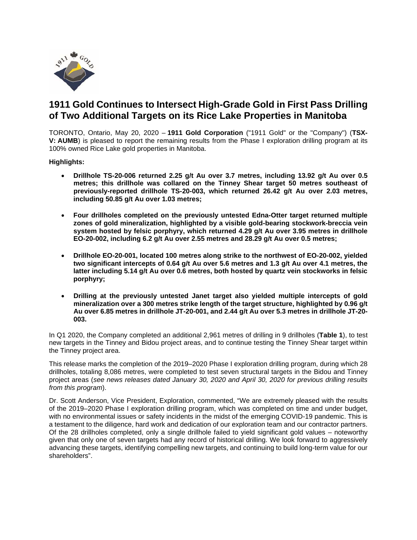

# **1911 Gold Continues to Intersect High-Grade Gold in First Pass Drilling of Two Additional Targets on its Rice Lake Properties in Manitoba**

TORONTO, Ontario, May 20, 2020 – **1911 Gold Corporation** ("1911 Gold" or the "Company") (**TSX-V: AUMB**) is pleased to report the remaining results from the Phase I exploration drilling program at its 100% owned Rice Lake gold properties in Manitoba.

**Highlights:**

- **Drillhole TS-20-006 returned 2.25 g/t Au over 3.7 metres, including 13.92 g/t Au over 0.5 metres; this drillhole was collared on the Tinney Shear target 50 metres southeast of previously-reported drillhole TS-20-003, which returned 26.42 g/t Au over 2.03 metres, including 50.85 g/t Au over 1.03 metres;**
- **Four drillholes completed on the previously untested Edna-Otter target returned multiple zones of gold mineralization, highlighted by a visible gold-bearing stockwork-breccia vein system hosted by felsic porphyry, which returned 4.29 g/t Au over 3.95 metres in drillhole EO-20-002, including 6.2 g/t Au over 2.55 metres and 28.29 g/t Au over 0.5 metres;**
- **Drillhole EO-20-001, located 100 metres along strike to the northwest of EO-20-002, yielded two significant intercepts of 0.64 g/t Au over 5.6 metres and 1.3 g/t Au over 4.1 metres, the latter including 5.14 g/t Au over 0.6 metres, both hosted by quartz vein stockworks in felsic porphyry;**
- **Drilling at the previously untested Janet target also yielded multiple intercepts of gold mineralization over a 300 metres strike length of the target structure, highlighted by 0.96 g/t Au over 6.85 metres in drillhole JT-20-001, and 2.44 g/t Au over 5.3 metres in drillhole JT-20- 003.**

In Q1 2020, the Company completed an additional 2,961 metres of drilling in 9 drillholes (**Table 1**), to test new targets in the Tinney and Bidou project areas, and to continue testing the Tinney Shear target within the Tinney project area.

This release marks the completion of the 2019–2020 Phase I exploration drilling program, during which 28 drillholes, totaling 8,086 metres, were completed to test seven structural targets in the Bidou and Tinney project areas (*see news releases dated January 30, 2020 and April 30, 2020 for previous drilling results from this program*).

Dr. Scott Anderson, Vice President, Exploration, commented, "We are extremely pleased with the results of the 2019–2020 Phase I exploration drilling program, which was completed on time and under budget, with no environmental issues or safety incidents in the midst of the emerging COVID-19 pandemic. This is a testament to the diligence, hard work and dedication of our exploration team and our contractor partners. Of the 28 drillholes completed, only a single drillhole failed to yield significant gold values – noteworthy given that only one of seven targets had any record of historical drilling. We look forward to aggressively advancing these targets, identifying compelling new targets, and continuing to build long-term value for our shareholders".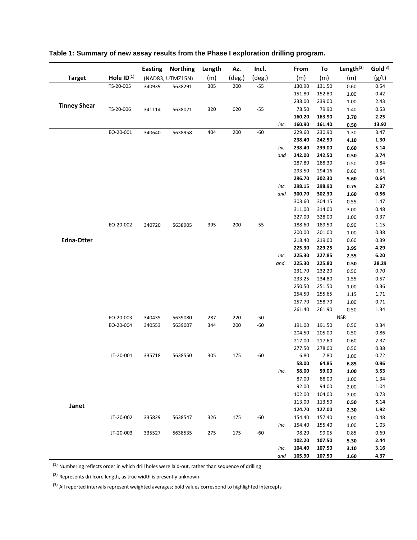|                     |                 | <b>Easting</b> | <b>Northing</b>  | Length | Az.    | Incl.  |      | From             | To               | Length $(2)$ | Gold <sup>(3)</sup> |
|---------------------|-----------------|----------------|------------------|--------|--------|--------|------|------------------|------------------|--------------|---------------------|
| <b>Target</b>       | Hole $ID^{(1)}$ |                | (NAD83, UTMZ15N) | (m)    | (deg.) | (deg.) |      | (m)              | (m)              | (m)          | (g/t)               |
|                     | TS-20-005       | 340939         | 5638291          | 305    | 200    | $-55$  |      | 130.90           | 131.50           | 0.60         | 0.54                |
|                     |                 |                |                  |        |        |        |      | 151.80           | 152.80           | 1.00         | 0.42                |
| <b>Tinney Shear</b> |                 |                |                  |        |        |        |      | 238.00           | 239.00           | 1.00         | 2.43                |
|                     | TS-20-006       | 341114         | 5638021          | 320    | 020    | $-55$  |      | 78.50            | 79.90            | 1.40         | 0.53                |
|                     |                 |                |                  |        |        |        |      | 160.20           | 163.90           | 3.70         | 2.25                |
|                     |                 |                |                  |        |        |        | inc. | 160.90           | 161.40           | 0.50         | 13.92               |
|                     | EO-20-001       | 340640         | 5638958          | 404    | 200    | $-60$  |      | 229.60           | 230.90           | 1.30         | 3.47                |
|                     |                 |                |                  |        |        |        |      | 238.40           | 242.50           | 4.10         | 1.30                |
|                     |                 |                |                  |        |        |        | inc. | 238.40           | 239.00           | 0.60         | 5.14                |
|                     |                 |                |                  |        |        |        | and  | 242.00           | 242.50           | 0.50         | 3.74                |
|                     |                 |                |                  |        |        |        |      | 287.80           | 288.30           | 0.50         | 0.84                |
|                     |                 |                |                  |        |        |        |      | 293.50           | 294.16           | 0.66         | 0.51                |
|                     |                 |                |                  |        |        |        |      | 296.70           | 302.30           | 5.60         | 0.64                |
|                     |                 |                |                  |        |        |        | inc. | 298.15           | 298.90           | 0.75         | 2.37                |
|                     |                 |                |                  |        |        |        | and  | 300.70           | 302.30           | 1.60         | 0.56                |
|                     |                 |                |                  |        |        |        |      | 303.60           | 304.15           | 0.55         | 1.47                |
|                     |                 |                |                  |        |        |        |      | 311.00           | 314.00           | 3.00         | 0.48                |
|                     |                 |                |                  |        |        |        |      | 327.00           | 328.00           | 1.00         | 0.37                |
|                     | EO-20-002       | 340720         | 5638905          | 395    | 200    | $-55$  |      | 188.60           | 189.50           | 0.90         | 1.15                |
|                     |                 |                |                  |        |        |        |      | 200.00           | 201.00           | 1.00         | 0.38                |
| <b>Edna-Otter</b>   |                 |                |                  |        |        |        |      | 218.40<br>225.30 | 219.00<br>229.25 | 0.60         | 0.39<br>4.29        |
|                     |                 |                |                  |        |        |        | Inc. | 225.30           | 227.85           | 3.95         | 6.20                |
|                     |                 |                |                  |        |        |        | and. | 225.30           | 225.80           | 2.55<br>0.50 | 28.29               |
|                     |                 |                |                  |        |        |        |      | 231.70           | 232.20           | 0.50         | 0.70                |
|                     |                 |                |                  |        |        |        |      | 233.25           | 234.80           | 1.55         | 0.57                |
|                     |                 |                |                  |        |        |        |      | 250.50           | 251.50           | 1.00         | 0.36                |
|                     |                 |                |                  |        |        |        |      | 254.50           | 255.65           | 1.15         | 1.71                |
|                     |                 |                |                  |        |        |        |      | 257.70           | 258.70           | 1.00         | 0.71                |
|                     |                 |                |                  |        |        |        |      | 261.40           | 261.90           | 0.50         | 1.34                |
|                     | EO-20-003       | 340435         | 5639080          | 287    | 220    | $-50$  |      |                  |                  | <b>NSR</b>   |                     |
|                     | EO-20-004       | 340553         | 5639007          | 344    | 200    | $-60$  |      | 191.00           | 191.50           | 0.50         | 0.34                |
|                     |                 |                |                  |        |        |        |      | 204.50           | 205.00           | 0.50         | 0.86                |
|                     |                 |                |                  |        |        |        |      | 217.00           | 217.60           | 0.60         | 2.37                |
|                     |                 |                |                  |        |        |        |      | 277.50           | 278.00           | 0.50         | 0.38                |
|                     | JT-20-001       | 335718         | 5638550          | 305    | 175    | $-60$  |      | 6.80             | 7.80             | 1.00         | 0.72                |
|                     |                 |                |                  |        |        |        |      | 58.00            | 64.85            | 6.85         | 0.96                |
|                     |                 |                |                  |        |        |        | inc. | 58.00            | 59.00            | 1.00         | 3.53                |
|                     |                 |                |                  |        |        |        |      | 87.00            | 88.00            | 1.00         | 1.34                |
|                     |                 |                |                  |        |        |        |      | 92.00            | 94.00            | 2.00         | 1.04                |
|                     |                 |                |                  |        |        |        |      | 102.00           | 104.00           | 2.00         | 0.73                |
| Janet               |                 |                |                  |        |        |        |      | 113.00           | 113.50           | 0.50         | 5.14                |
|                     |                 |                |                  |        |        |        |      | 124.70           | 127.00           | 2.30         | 1.92                |
|                     | JT-20-002       | 335829         | 5638547          | 326    | 175    | -60    |      | 154.40           | 157.40           | 3.00         | 0.48                |
|                     |                 |                |                  |        |        |        | inc. | 154.40           | 155.40           | 1.00         | 1.03                |
|                     | JT-20-003       | 335527         | 5638535          | 275    | 175    | -60    |      | 98.20            | 99.05            | 0.85         | 0.69                |
|                     |                 |                |                  |        |        |        |      | 102.20           | 107.50           | 5.30         | 2.44                |
|                     |                 |                |                  |        |        |        | inc. | 104.40           | 107.50           | 3.10         | 3.16                |
|                     |                 |                |                  |        |        |        | and  | 105.90           | 107.50           | 1.60         | 4.37                |

## **Table 1: Summary of new assay results from the Phase I exploration drilling program.**

 $<sup>(1)</sup>$  Numbering reflects order in which drill holes were laid-out, rather than sequence of drilling</sup>

(2) Represents drillcore length, as true width is presently unknown

(3) All reported intervals represent weighted averages; bold values correspond to highlighted intercepts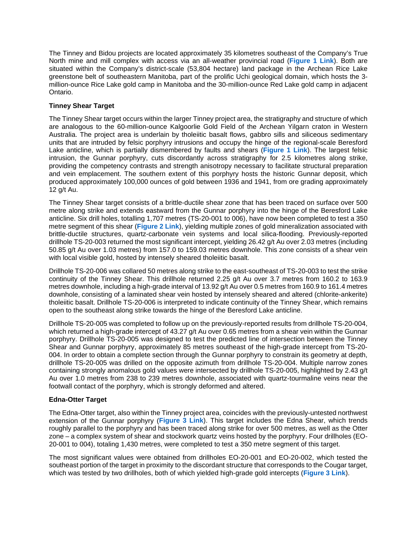The Tinney and Bidou projects are located approximately 35 kilometres southeast of the Company's True North mine and mill complex with access via an all-weather provincial road (**[Figure 1 Link](https://www.1911gold.com/files/images/2020/05/Figure-1-Plan-Map-of-Southeast-Portion-of-Rice-Lake-Belt.pdf)**). Both are situated within the Company's district-scale (53,804 hectare) land package in the Archean Rice Lake greenstone belt of southeastern Manitoba, part of the prolific Uchi geological domain, which hosts the 3 million-ounce Rice Lake gold camp in Manitoba and the 30-million-ounce Red Lake gold camp in adjacent Ontario.

## **Tinney Shear Target**

The Tinney Shear target occurs within the larger Tinney project area, the stratigraphy and structure of which are analogous to the 60-million-ounce Kalgoorlie Gold Field of the Archean Yilgarn craton in Western Australia. The project area is underlain by tholeiitic basalt flows, gabbro sills and siliceous sedimentary units that are intruded by felsic porphyry intrusions and occupy the hinge of the regional-scale Beresford Lake anticline, which is partially dismembered by faults and shears (**[Figure 1 Link](https://www.1911gold.com/files/images/2020/05/Figure-1-Plan-Map-of-Southeast-Portion-of-Rice-Lake-Belt.pdf)**). The largest felsic intrusion, the Gunnar porphyry, cuts discordantly across stratigraphy for 2.5 kilometres along strike, providing the competency contrasts and strength anisotropy necessary to facilitate structural preparation and vein emplacement. The southern extent of this porphyry hosts the historic Gunnar deposit, which produced approximately 100,000 ounces of gold between 1936 and 1941, from ore grading approximately 12 g/t Au.

The Tinney Shear target consists of a brittle-ductile shear zone that has been traced on surface over 500 metre along strike and extends eastward from the Gunnar porphyry into the hinge of the Beresford Lake anticline. Six drill holes, totalling 1,707 metres (TS-20-001 to 006), have now been completed to test a 350 metre segment of this shear (**[Figure 2 Link](https://www.1911gold.com/files/images/2020/05/Figure-2-Plan-map-of-the-Tinney-Shear.pdf)**), yielding multiple zones of gold mineralization associated with brittle-ductile structures, quartz-carbonate vein systems and local silica-flooding. Previously-reported drillhole TS-20-003 returned the most significant intercept, yielding 26.42 g/t Au over 2.03 metres (including 50.85 g/t Au over 1.03 metres) from 157.0 to 159.03 metres downhole. This zone consists of a shear vein with local visible gold, hosted by intensely sheared tholeiitic basalt.

Drillhole TS-20-006 was collared 50 metres along strike to the east-southeast of TS-20-003 to test the strike continuity of the Tinney Shear. This drillhole returned 2.25 g/t Au over 3.7 metres from 160.2 to 163.9 metres downhole, including a high-grade interval of 13.92 g/t Au over 0.5 metres from 160.9 to 161.4 metres downhole, consisting of a laminated shear vein hosted by intensely sheared and altered (chlorite-ankerite) tholeiitic basalt. Drillhole TS-20-006 is interpreted to indicate continuity of the Tinney Shear, which remains open to the southeast along strike towards the hinge of the Beresford Lake anticline.

Drillhole TS-20-005 was completed to follow up on the previously-reported results from drillhole TS-20-004, which returned a high-grade intercept of 43.27 g/t Au over 0.65 metres from a shear vein within the Gunnar porphyry. Drillhole TS-20-005 was designed to test the predicted line of intersection between the Tinney Shear and Gunnar porphyry, approximately 85 metres southeast of the high-grade intercept from TS-20- 004. In order to obtain a complete section through the Gunnar porphyry to constrain its geometry at depth, drillhole TS-20-005 was drilled on the opposite azimuth from drillhole TS-20-004. Multiple narrow zones containing strongly anomalous gold values were intersected by drillhole TS-20-005, highlighted by 2.43 g/t Au over 1.0 metres from 238 to 239 metres downhole, associated with quartz-tourmaline veins near the footwall contact of the porphyry, which is strongly deformed and altered.

## **Edna-Otter Target**

The Edna-Otter target, also within the Tinney project area, coincides with the previously-untested northwest extension of the Gunnar porphyry (**[Figure 3 Link](https://www.1911gold.com/files/images/2020/05/Figure-3-Plan-map-of-the-Edna-Otter.pdf)**). This target includes the Edna Shear, which trends roughly parallel to the porphyry and has been traced along strike for over 500 metres, as well as the Otter zone – a complex system of shear and stockwork quartz veins hosted by the porphyry. Four drillholes (EO-20-001 to 004), totaling 1,430 metres, were completed to test a 350 metre segment of this target.

The most significant values were obtained from drillholes EO-20-001 and EO-20-002, which tested the southeast portion of the target in proximity to the discordant structure that corresponds to the Cougar target, which was tested by two drillholes, both of which yielded high-grade gold intercepts (**[Figure 3 Link](https://www.1911gold.com/files/images/2020/05/Figure-3-Plan-map-of-the-Edna-Otter.pdf)**).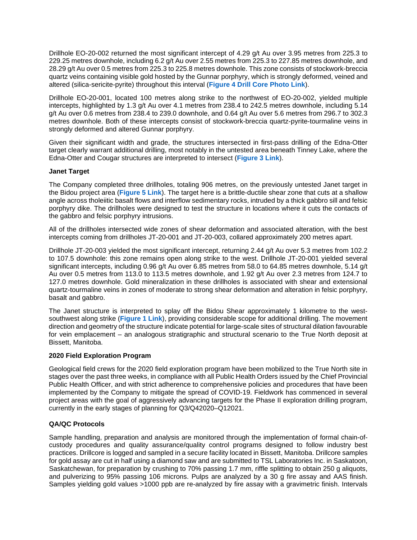Drillhole EO-20-002 returned the most significant intercept of 4.29 g/t Au over 3.95 metres from 225.3 to 229.25 metres downhole, including 6.2 g/t Au over 2.55 metres from 225.3 to 227.85 metres downhole, and 28.29 g/t Au over 0.5 metres from 225.3 to 225.8 metres downhole. This zone consists of stockwork-breccia quartz veins containing visible gold hosted by the Gunnar porphyry, which is strongly deformed, veined and altered (silica-sericite-pyrite) throughout this interval (**[Figure 4 Drill Core](https://www.1911gold.com/files/images/2020/05/Figure-4-Drillcore-photos-EO-20-002.pdf) Photo Link**).

Drillhole EO-20-001, located 100 metres along strike to the northwest of EO-20-002, yielded multiple intercepts, highlighted by 1.3 g/t Au over 4.1 metres from 238.4 to 242.5 metres downhole, including 5.14 g/t Au over 0.6 metres from 238.4 to 239.0 downhole, and 0.64 g/t Au over 5.6 metres from 296.7 to 302.3 metres downhole. Both of these intercepts consist of stockwork-breccia quartz-pyrite-tourmaline veins in strongly deformed and altered Gunnar porphyry.

Given their significant width and grade, the structures intersected in first-pass drilling of the Edna-Otter target clearly warrant additional drilling, most notably in the untested area beneath Tinney Lake, where the Edna-Otter and Cougar structures are interpreted to intersect (**[Figure 3 Link](https://www.1911gold.com/files/images/2020/05/Figure-3-Plan-map-of-the-Edna-Otter.pdf)**).

## **Janet Target**

The Company completed three drillholes, totaling 906 metres, on the previously untested Janet target in the Bidou project area (**[Figure 5 Link](https://www.1911gold.com/files/images/2020/05/Figure-5-Plan-map-of-the-Janet.pdf)**). The target here is a brittle-ductile shear zone that cuts at a shallow angle across tholeiitic basalt flows and interflow sedimentary rocks, intruded by a thick gabbro sill and felsic porphyry dike. The drillholes were designed to test the structure in locations where it cuts the contacts of the gabbro and felsic porphyry intrusions.

All of the drillholes intersected wide zones of shear deformation and associated alteration, with the best intercepts coming from drillholes JT-20-001 and JT-20-003, collared approximately 200 metres apart.

Drillhole JT-20-003 yielded the most significant intercept, returning 2.44 g/t Au over 5.3 metres from 102.2 to 107.5 downhole: this zone remains open along strike to the west. Drillhole JT-20-001 yielded several significant intercepts, including 0.96 g/t Au over 6.85 metres from 58.0 to 64.85 metres downhole, 5.14 g/t Au over 0.5 metres from 113.0 to 113.5 metres downhole, and 1.92 g/t Au over 2.3 metres from 124.7 to 127.0 metres downhole. Gold mineralization in these drillholes is associated with shear and extensional quartz-tourmaline veins in zones of moderate to strong shear deformation and alteration in felsic porphyry, basalt and gabbro.

The Janet structure is interpreted to splay off the Bidou Shear approximately 1 kilometre to the westsouthwest along strike (**[Figure 1 Link](https://www.1911gold.com/files/images/2020/05/Figure-1-Plan-Map-of-Southeast-Portion-of-Rice-Lake-Belt.pdf)**), providing considerable scope for additional drilling. The movement direction and geometry of the structure indicate potential for large-scale sites of structural dilation favourable for vein emplacement – an analogous stratigraphic and structural scenario to the True North deposit at Bissett, Manitoba.

#### **2020 Field Exploration Program**

Geological field crews for the 2020 field exploration program have been mobilized to the True North site in stages over the past three weeks, in compliance with all Public Health Orders issued by the Chief Provincial Public Health Officer, and with strict adherence to comprehensive policies and procedures that have been implemented by the Company to mitigate the spread of COVID-19. Fieldwork has commenced in several project areas with the goal of aggressively advancing targets for the Phase II exploration drilling program, currently in the early stages of planning for Q3/Q42020–Q12021.

## **QA/QC Protocols**

Sample handling, preparation and analysis are monitored through the implementation of formal chain-ofcustody procedures and quality assurance/quality control programs designed to follow industry best practices. Drillcore is logged and sampled in a secure facility located in Bissett, Manitoba. Drillcore samples for gold assay are cut in half using a diamond saw and are submitted to TSL Laboratories Inc. in Saskatoon, Saskatchewan, for preparation by crushing to 70% passing 1.7 mm, riffle splitting to obtain 250 g aliquots, and pulverizing to 95% passing 106 microns. Pulps are analyzed by a 30 g fire assay and AAS finish. Samples yielding gold values >1000 ppb are re-analyzed by fire assay with a gravimetric finish. Intervals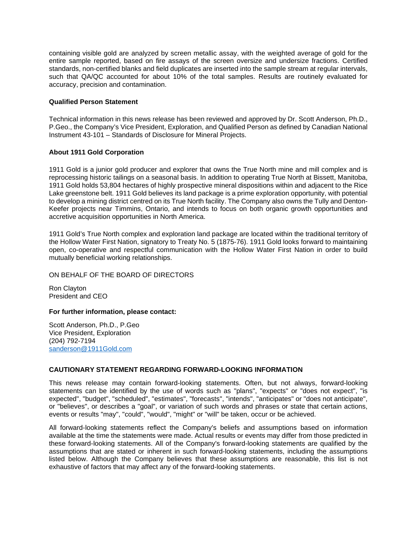containing visible gold are analyzed by screen metallic assay, with the weighted average of gold for the entire sample reported, based on fire assays of the screen oversize and undersize fractions. Certified standards, non-certified blanks and field duplicates are inserted into the sample stream at regular intervals, such that QA/QC accounted for about 10% of the total samples. Results are routinely evaluated for accuracy, precision and contamination.

## **Qualified Person Statement**

Technical information in this news release has been reviewed and approved by Dr. Scott Anderson, Ph.D., P.Geo., the Company's Vice President, Exploration, and Qualified Person as defined by Canadian National Instrument 43-101 – Standards of Disclosure for Mineral Projects.

## **About 1911 Gold Corporation**

1911 Gold is a junior gold producer and explorer that owns the True North mine and mill complex and is reprocessing historic tailings on a seasonal basis. In addition to operating True North at Bissett, Manitoba, 1911 Gold holds 53,804 hectares of highly prospective mineral dispositions within and adjacent to the Rice Lake greenstone belt. 1911 Gold believes its land package is a prime exploration opportunity, with potential to develop a mining district centred on its True North facility. The Company also owns the Tully and Denton-Keefer projects near Timmins, Ontario, and intends to focus on both organic growth opportunities and accretive acquisition opportunities in North America.

1911 Gold's True North complex and exploration land package are located within the traditional territory of the Hollow Water First Nation, signatory to Treaty No. 5 (1875-76). 1911 Gold looks forward to maintaining open, co-operative and respectful communication with the Hollow Water First Nation in order to build mutually beneficial working relationships.

#### ON BEHALF OF THE BOARD OF DIRECTORS

Ron Clayton President and CEO

#### **For further information, please contact:**

Scott Anderson, Ph.D., P.Geo Vice President, Exploration (204) 792-7194 [sanderson@1911Gold.com](mailto:sanderson@1911Gold.com)

#### **CAUTIONARY STATEMENT REGARDING FORWARD-LOOKING INFORMATION**

This news release may contain forward-looking statements. Often, but not always, forward-looking statements can be identified by the use of words such as "plans", "expects" or "does not expect", "is expected", "budget", "scheduled", "estimates", "forecasts", "intends", "anticipates" or "does not anticipate", or "believes", or describes a "goal", or variation of such words and phrases or state that certain actions, events or results "may", "could", "would", "might" or "will" be taken, occur or be achieved.

All forward-looking statements reflect the Company's beliefs and assumptions based on information available at the time the statements were made. Actual results or events may differ from those predicted in these forward-looking statements. All of the Company's forward-looking statements are qualified by the assumptions that are stated or inherent in such forward-looking statements, including the assumptions listed below. Although the Company believes that these assumptions are reasonable, this list is not exhaustive of factors that may affect any of the forward-looking statements.